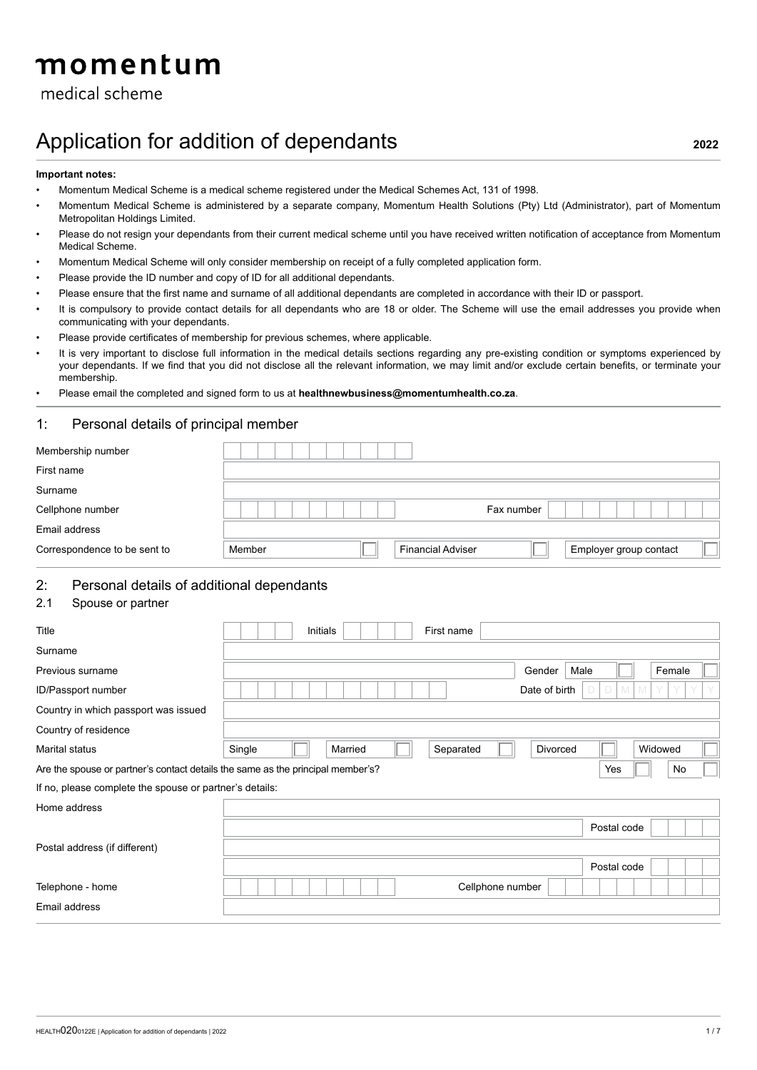# momentum

# medical scheme

# Application for addition of dependants **<sup>2022</sup>**

#### **Important notes:**

- Momentum Medical Scheme is a medical scheme registered under the Medical Schemes Act, 131 of 1998.
- Momentum Medical Scheme is administered by a separate company, Momentum Health Solutions (Pty) Ltd (Administrator), part of Momentum Metropolitan Holdings Limited.
- Please do not resign your dependants from their current medical scheme until you have received written notification of acceptance from Momentum Medical Scheme.
- Momentum Medical Scheme will only consider membership on receipt of a fully completed application form.
- Please provide the ID number and copy of ID for all additional dependants.
- Please ensure that the first name and surname of all additional dependants are completed in accordance with their ID or passport.
- It is compulsory to provide contact details for all dependants who are 18 or older. The Scheme will use the email addresses you provide when communicating with your dependants.
- Please provide certificates of membership for previous schemes, where applicable.
- It is very important to disclose full information in the medical details sections regarding any pre-existing condition or symptoms experienced by your dependants. If we find that you did not disclose all the relevant information, we may limit and/or exclude certain benefits, or terminate your membership.
- Please email the completed and signed form to us at **healthnewbusiness@momentumhealth.co.za**.

#### 1: Personal details of principal member

| Membership number            |        |                          |            |                        |
|------------------------------|--------|--------------------------|------------|------------------------|
| First name                   |        |                          |            |                        |
| Surname                      |        |                          |            |                        |
| Cellphone number             |        |                          | Fax number |                        |
| Email address                |        |                          |            |                        |
| Correspondence to be sent to | Member | <b>Financial Adviser</b> |            | Employer group contact |

## 2: Personal details of additional dependants

#### 2.1 Spouse or partner

| Title                                                                           | Initials<br>First name                                |  |
|---------------------------------------------------------------------------------|-------------------------------------------------------|--|
| Surname                                                                         |                                                       |  |
| Previous surname                                                                | Female<br>Male<br>Gender                              |  |
| ID/Passport number                                                              | M<br>Date of birth<br>$\mathbb N$<br>Y<br>D           |  |
| Country in which passport was issued                                            |                                                       |  |
| Country of residence                                                            |                                                       |  |
| Marital status                                                                  | Single<br>Married<br>Separated<br>Divorced<br>Widowed |  |
| Are the spouse or partner's contact details the same as the principal member's? | Yes<br>No                                             |  |
| If no, please complete the spouse or partner's details:                         |                                                       |  |
| Home address                                                                    |                                                       |  |
|                                                                                 | Postal code                                           |  |
| Postal address (if different)                                                   |                                                       |  |
|                                                                                 | Postal code                                           |  |
| Telephone - home                                                                | Cellphone number                                      |  |
| Email address                                                                   |                                                       |  |
|                                                                                 |                                                       |  |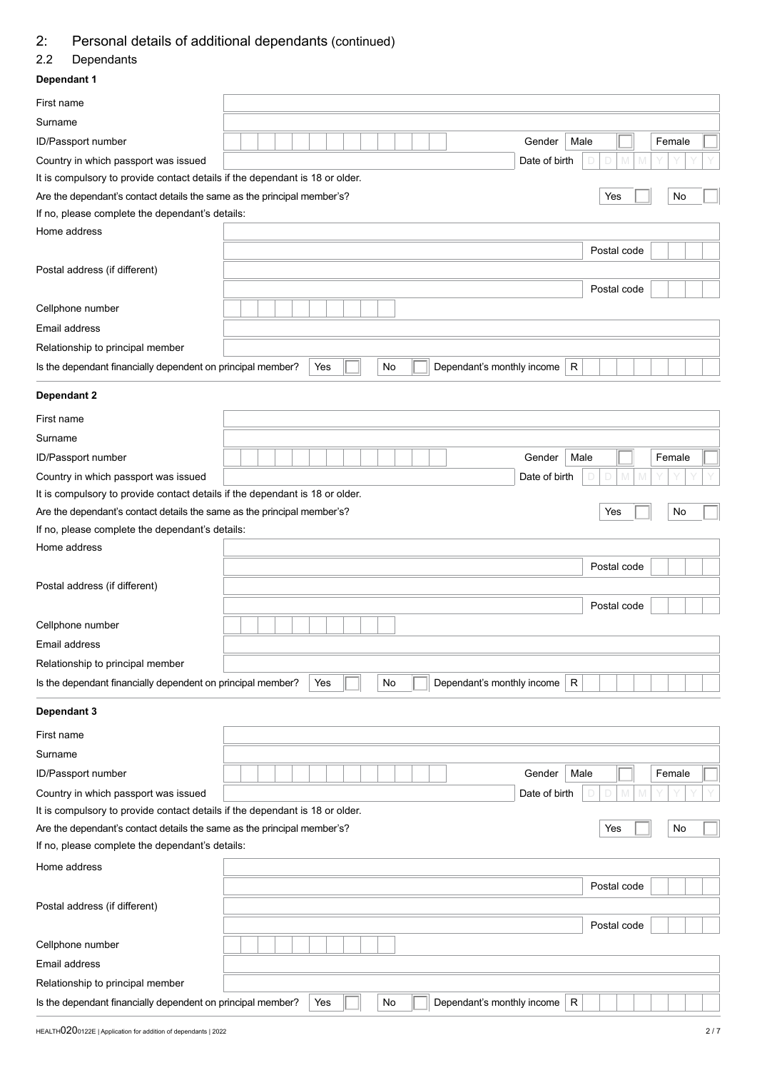## 2: Personal details of additional dependants (continued)

## 2.2 Dependants

# **Dependant 1** First name Surname ID/Passport number **General Community ID**  $\begin{bmatrix} 1 & 1 & 1 \\ 1 & 1 & 1 \\ 1 & 1 & 1 \end{bmatrix}$  (Gender Male  $\begin{bmatrix} 1 & 1 & 1 \\ 1 & 1 & 1 \\ 1 & 1 & 1 \end{bmatrix}$  Gender Male Country in which passport was issued Date of birth Date of birth Date of birth Date of birth D Date of birth D M  $\overline{D}$  Date of birth D  $\overline{D}$  D  $\overline{D}$  D  $\overline{D}$  D  $\overline{D}$  D  $\overline{D}$  D  $\overline{D}$  D  $\overline{D}$  D  $\overline{D}$ It is compulsory to provide contact details if the dependant is 18 or older. Are the dependant's contact details the same as the principal member's?  $\overline{\phantom{a}}$  Yes No If no, please complete the dependant's details: Home address Postal code Postal address (if different) Postal code Cellphone number Email address Relationship to principal member Is the dependant financially dependent on principal member?  $\overline{\phantom{a}}$  Yes  $\overline{\phantom{a}}$  No  $\overline{\phantom{a}}$  Dependant's monthly income  $\overline{\phantom{a}}$  R **Dependant 2** First name Surname ID/Passport number **General Community Community** Intervention of the Unit of the Gender Male **Community Community** Country in which passport was issued Date of birth D D M M Y Y Y Y It is compulsory to provide contact details if the dependant is 18 or older. Are the dependant's contact details the same as the principal member's?  $\begin{array}{ccc} \hline \end{array}$  Yes  $\begin{array}{ccc} \hline \end{array}$  No If no, please complete the dependant's details: Home address Postal code Postal address (if different) Postal code Cellphone number Email address Relationship to principal member Is the dependant financially dependent on principal member?  $\overline{\phantom{a}}$  Yes  $\overline{\phantom{a}}$  No Dependant's monthly income R **Dependant 3** First name Surname ID/Passport number Gender Male Female Country in which passport was issued Date of birth Date of birth Date of birth Date of birth D Date of birth D M  $\Box$ It is compulsory to provide contact details if the dependant is 18 or older. Are the dependant's contact details the same as the principal member's?  $\overline{Y}$   $\overline{Y}$   $\overline{Y}$   $\overline{Y}$   $\overline{Y}$   $\overline{Y}$   $\overline{Y}$   $\overline{Y}$   $\overline{Y}$   $\overline{Y}$   $\overline{Y}$   $\overline{Y}$   $\overline{Y}$   $\overline{Y}$   $\overline{Y}$   $\overline{Y}$   $\overline{$ If no, please complete the dependant's details: Home address Postal code Postal address (if different) Postal code Cellphone number Email address Relationship to principal member Is the dependant financially dependent on principal member?  $\triangleright$  Yes  $\Vert \Box \Vert$  No  $\Vert \Vert$  Dependant's monthly income R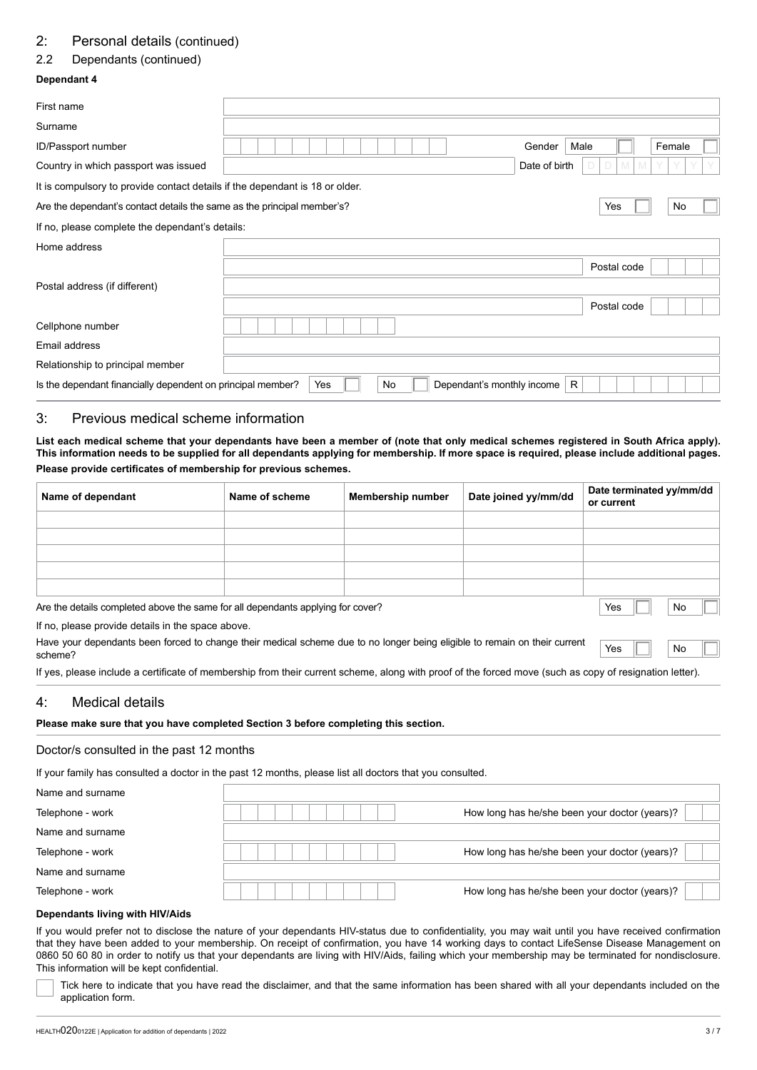## 2: Personal details (continued)

## 2.2 Dependants (continued)

## **Dependant 4**

| First name                                                                   |     |     |                            |               |             |        |  |
|------------------------------------------------------------------------------|-----|-----|----------------------------|---------------|-------------|--------|--|
| Surname                                                                      |     |     |                            |               |             |        |  |
| <b>ID/Passport number</b>                                                    |     |     |                            | Gender        | Male        | Female |  |
| Country in which passport was issued                                         |     |     |                            | Date of birth | M           |        |  |
| It is compulsory to provide contact details if the dependant is 18 or older. |     |     |                            |               |             |        |  |
| Are the dependant's contact details the same as the principal member's?      |     |     |                            |               | Yes         | No     |  |
| If no, please complete the dependant's details:                              |     |     |                            |               |             |        |  |
| Home address                                                                 |     |     |                            |               |             |        |  |
|                                                                              |     |     |                            |               | Postal code |        |  |
| Postal address (if different)                                                |     |     |                            |               |             |        |  |
|                                                                              |     |     |                            |               | Postal code |        |  |
| Cellphone number                                                             |     |     |                            |               |             |        |  |
| Email address                                                                |     |     |                            |               |             |        |  |
| Relationship to principal member                                             |     |     |                            |               |             |        |  |
| Is the dependant financially dependent on principal member?                  | Yes | No. | Dependant's monthly income |               | R           |        |  |

## 3: Previous medical scheme information

**List each medical scheme that your dependants have been a member of (note that only medical schemes registered in South Africa apply). This information needs to be supplied for all dependants applying for membership. If more space is required, please include additional pages. Please provide certificates of membership for previous schemes.**

| Name of dependant                                                                                      | Name of scheme                              | <b>Membership number</b> | Date joined yy/mm/dd | Date terminated yy/mm/dd<br>or current |
|--------------------------------------------------------------------------------------------------------|---------------------------------------------|--------------------------|----------------------|----------------------------------------|
|                                                                                                        |                                             |                          |                      |                                        |
|                                                                                                        |                                             |                          |                      |                                        |
|                                                                                                        |                                             |                          |                      |                                        |
|                                                                                                        |                                             |                          |                      |                                        |
|                                                                                                        |                                             |                          |                      |                                        |
| الأسمريوم وجه واسترابا ورويم والمتماس والمسامي المستمر والمستحد والمستحدث والمستحدث والملحام والمستقار | $\overline{a}$<br><b>Alla</b><br>$\sqrt{2}$ |                          |                      |                                        |

Are the details completed above the same for all dependants applying for cover? Note No. No. No. No. No. No. No

If no, please provide details in the space above.

| Have your dependants been forced to change their medical scheme due to no longer being eligible to remain on their current $Yes$ |  |  |
|----------------------------------------------------------------------------------------------------------------------------------|--|--|
| scheme?                                                                                                                          |  |  |

If yes, please include a certificate of membership from their current scheme, along with proof of the forced move (such as copy of resignation letter).

#### 4: Medical details

#### **Please make sure that you have completed Section 3 before completing this section.**

#### Doctor/s consulted in the past 12 months

If your family has consulted a doctor in the past 12 months, please list all doctors that you consulted.

| Name and surname |                                               |
|------------------|-----------------------------------------------|
| Telephone - work | How long has he/she been your doctor (years)? |
| Name and surname |                                               |
| Telephone - work | How long has he/she been your doctor (years)? |
| Name and surname |                                               |
| Telephone - work | How long has he/she been your doctor (years)? |

#### **Dependants living with HIV/Aids**

If you would prefer not to disclose the nature of your dependants HIV-status due to confidentiality, you may wait until you have received confirmation that they have been added to your membership. On receipt of confirmation, you have 14 working days to contact LifeSense Disease Management on 0860 50 60 80 in order to notify us that your dependants are living with HIV/Aids, failing which your membership may be terminated for nondisclosure. This information will be kept confidential.

Tick here to indicate that you have read the disclaimer, and that the same information has been shared with all your dependants included on the application form.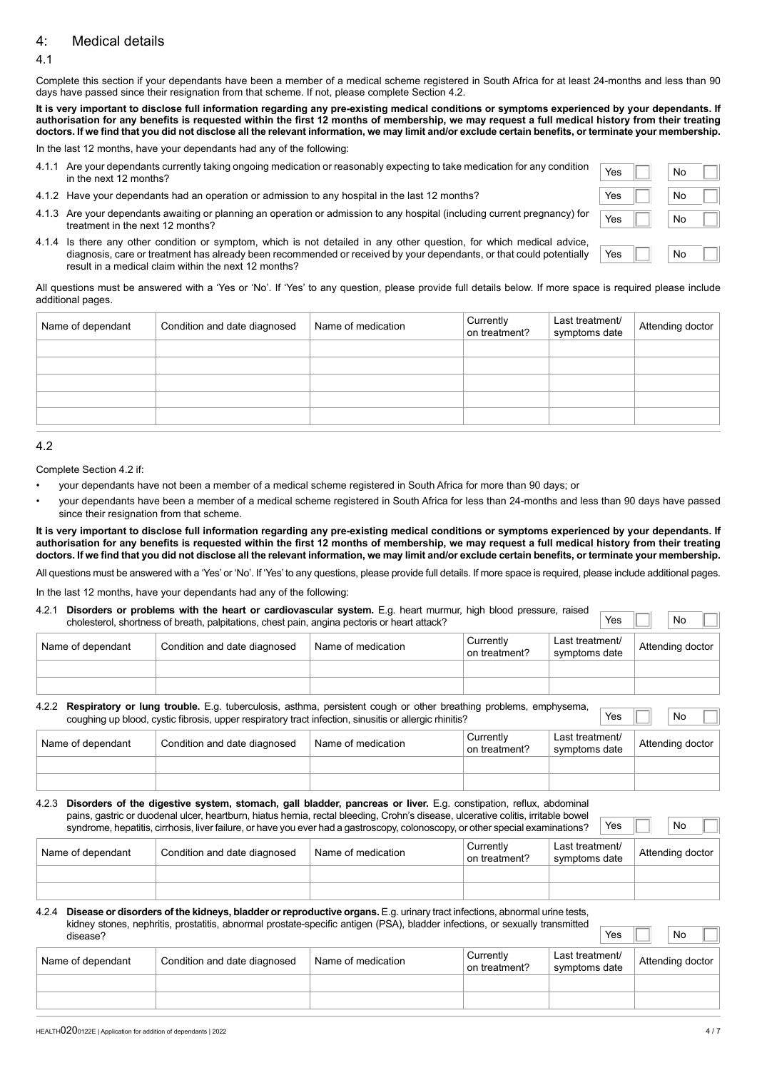## 4: Medical details

#### 4.1

Complete this section if your dependants have been a member of a medical scheme registered in South Africa for at least 24-months and less than 90 days have passed since their resignation from that scheme. If not, please complete Section 4.2.

**It is very important to disclose full information regarding any pre-existing medical conditions or symptoms experienced by your dependants. If authorisation for any benefits is requested within the first 12 months of membership, we may request a full medical history from their treating doctors. If we find that you did not disclose all the relevant information, we may limit and/or exclude certain benefits, or terminate your membership.**

In the last 12 months, have your dependants had any of the following:

- 4.1.1 Are your dependants currently taking ongoing medication or reasonably expecting to take medication for any condition **Yes No**<br>in the next 12 months?
- 4.1.2 Have your dependants had an operation or admission to any hospital in the last 12 months?
- 4.1.3 Are your dependants awaiting or planning an operation or admission to any hospital (including current pregnancy) for **Yes No**<br>treatment in the next 12 months?
- 4.1.4 Is there any other condition or symptom, which is not detailed in any other question, for which medical advice, diagnosis, care or treatment has already been recommended or received by your dependants, or that could potentially result in a medical claim within the next 12 months?

All questions must be answered with a 'Yes or 'No'. If 'Yes' to any question, please provide full details below. If more space is required please include additional pages.

| Name of dependant | Condition and date diagnosed | Name of medication | Currently<br>on treatment? | Last treatment/<br>symptoms date | Attending doctor |
|-------------------|------------------------------|--------------------|----------------------------|----------------------------------|------------------|
|                   |                              |                    |                            |                                  |                  |
|                   |                              |                    |                            |                                  |                  |
|                   |                              |                    |                            |                                  |                  |
|                   |                              |                    |                            |                                  |                  |
|                   |                              |                    |                            |                                  |                  |

#### 4.2

Complete Section 4.2 if:

- your dependants have not been a member of a medical scheme registered in South Africa for more than 90 days; or
- your dependants have been a member of a medical scheme registered in South Africa for less than 24-months and less than 90 days have passed since their resignation from that scheme.

**It is very important to disclose full information regarding any pre-existing medical conditions or symptoms experienced by your dependants. If authorisation for any benefits is requested within the first 12 months of membership, we may request a full medical history from their treating doctors. If we find that you did not disclose all the relevant information, we may limit and/or exclude certain benefits, or terminate your membership.**

All questions must be answered with a 'Yes' or 'No'. If 'Yes' to any questions, please provide full details. If more space is required, please include additional pages.

In the last 12 months, have your dependants had any of the following:

#### 4.2.1 **Disorders or problems with the heart or cardiovascular system.** E.g. heart murmur, high blood pressure, raised cholesterol, shortness of breath, palpitations, chest pain, angina pectoris or heart attack?

| Name of dependant | Condition and date diagnosed | Name of medication | Currently<br>on treatment? | Last treatment/<br>symptoms date | Attending doctor |
|-------------------|------------------------------|--------------------|----------------------------|----------------------------------|------------------|
|                   |                              |                    |                            |                                  |                  |
|                   |                              |                    |                            |                                  |                  |

#### 4.2.2 **Respiratory or lung trouble.** E.g. tuberculosis, asthma, persistent cough or other breathing problems, emphysema, coughing up blood, cystic fibrosis, upper respiratory tract infection, sinusitis or allergic rhinitis? Yes Yes No

| Name of dependant | Condition and date diagnosed | Name of medication | Currently<br>on treatment? | Last treatment/<br>symptoms date | Attending doctor |
|-------------------|------------------------------|--------------------|----------------------------|----------------------------------|------------------|
|                   |                              |                    |                            |                                  |                  |
|                   |                              |                    |                            |                                  |                  |

4.2.3 **Disorders of the digestive system, stomach, gall bladder, pancreas or liver.** E.g. constipation, reflux, abdominal pains, gastric or duodenal ulcer, heartburn, hiatus hernia, rectal bleeding, Crohn's disease, ulcerative colitis, irritable bowel syndrome, hepatitis, cirrhosis, liver failure, or have you ever had a gastroscopy, colonoscopy, or other special examinations?

| Name of dependant | Condition and date diagnosed | <sup>1</sup> Name of medication | Currently<br>on treatment? | Last treatment/<br>symptoms date | Attending doctor |
|-------------------|------------------------------|---------------------------------|----------------------------|----------------------------------|------------------|
|                   |                              |                                 |                            |                                  |                  |
|                   |                              |                                 |                            |                                  |                  |

#### 4.2.4 **Disease or disorders of the kidneys, bladder or reproductive organs.** E.g. urinary tract infections, abnormal urine tests, kidney stones, nephritis, prostatitis, abnormal prostate-specific antigen (PSA), bladder infections, or sexually transmitted disease? disease? Yes No

| Name of dependant | Condition and date diagnosed | Name of medication | Currently<br>on treatment? | Last treatment/<br>symptoms date | Attending doctor |
|-------------------|------------------------------|--------------------|----------------------------|----------------------------------|------------------|
|                   |                              |                    |                            |                                  |                  |
|                   |                              |                    |                            |                                  |                  |

| Yes | No |  |
|-----|----|--|
| Yes | No |  |
| Yes | No |  |
|     |    |  |
| Yes | No |  |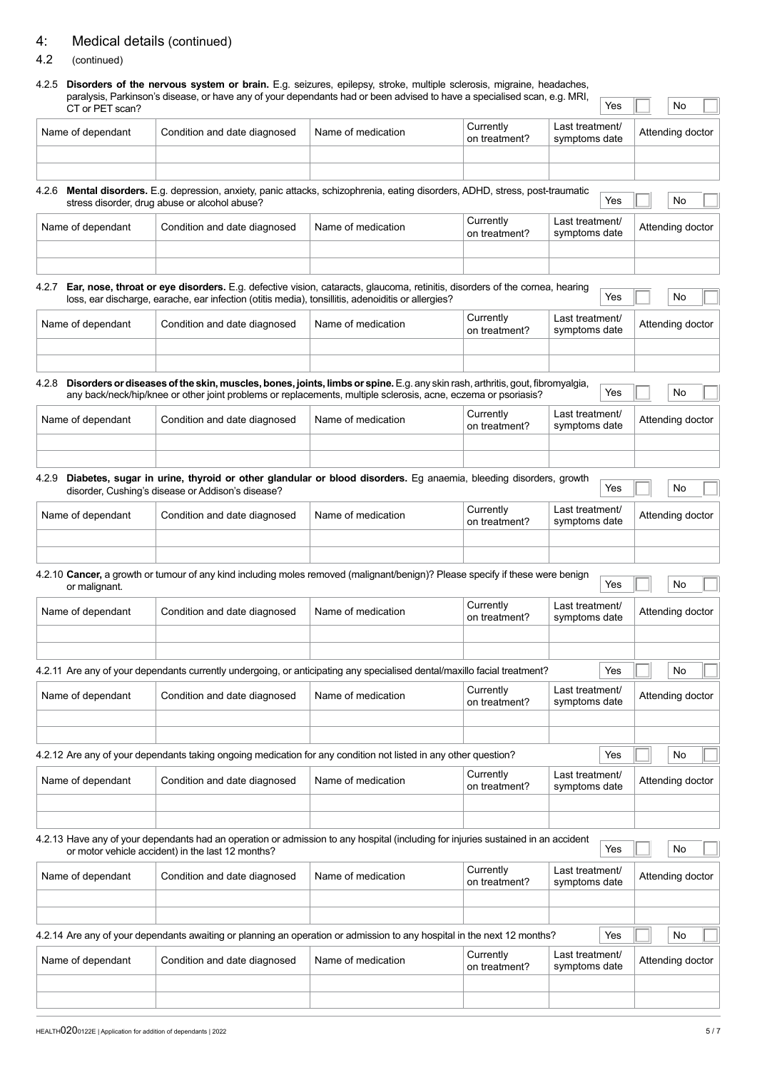## 4: Medical details (continued)

## 4.2 (continued)

# 4.2.5 **Disorders of the nervous system or brain.** E.g. seizures, epilepsy, stroke, multiple sclerosis, migraine, headaches, paralysis, Parkinson's disease, or have any of your dependants had or been advised to have a specialised scan, e.g. MRI, **WARI, A. T. 1999, I. T. 1999, I. I. 1999**<br>CT or PET scan?

| CT or PET scan?                    | paralysis, Parkinson's uisease, or nave any or your dependants nad or been advised to nave a specialised scan, e.g. MKH,                                                                                                                        |                    |                            |                                  | Yes |                  | No                     |  |
|------------------------------------|-------------------------------------------------------------------------------------------------------------------------------------------------------------------------------------------------------------------------------------------------|--------------------|----------------------------|----------------------------------|-----|------------------|------------------------|--|
| Name of dependant                  | Condition and date diagnosed                                                                                                                                                                                                                    | Name of medication | Currently<br>on treatment? | Last treatment/<br>symptoms date |     | Attending doctor |                        |  |
|                                    |                                                                                                                                                                                                                                                 |                    |                            |                                  |     |                  |                        |  |
|                                    | 4.2.6 Mental disorders. E.g. depression, anxiety, panic attacks, schizophrenia, eating disorders, ADHD, stress, post-traumatic<br>stress disorder, drug abuse or alcohol abuse?                                                                 |                    |                            |                                  | Yes |                  | No                     |  |
| Name of dependant                  | Condition and date diagnosed                                                                                                                                                                                                                    | Name of medication | Currently<br>on treatment? | Last treatment/<br>symptoms date |     | Attending doctor |                        |  |
|                                    |                                                                                                                                                                                                                                                 |                    |                            |                                  |     |                  |                        |  |
| 4.2.7                              | Ear, nose, throat or eye disorders. E.g. defective vision, cataracts, glaucoma, retinitis, disorders of the cornea, hearing<br>loss, ear discharge, earache, ear infection (otitis media), tonsillitis, adenoiditis or allergies?               |                    |                            |                                  | Yes |                  | No                     |  |
| Name of dependant                  | Condition and date diagnosed                                                                                                                                                                                                                    | Name of medication | Currently<br>on treatment? | Last treatment/<br>symptoms date |     | Attending doctor |                        |  |
|                                    |                                                                                                                                                                                                                                                 |                    |                            |                                  |     |                  |                        |  |
| 4.2.8                              | Disorders or diseases of the skin, muscles, bones, joints, limbs or spine. E.g. any skin rash, arthritis, gout, fibromyalgia,<br>any back/neck/hip/knee or other joint problems or replacements, multiple sclerosis, acne, eczema or psoriasis? |                    |                            |                                  | Yes |                  | No                     |  |
| Name of dependant                  | Condition and date diagnosed                                                                                                                                                                                                                    | Name of medication | Currently<br>on treatment? | Last treatment/<br>symptoms date |     | Attending doctor |                        |  |
|                                    |                                                                                                                                                                                                                                                 |                    |                            |                                  |     |                  |                        |  |
|                                    | 4.2.9 Diabetes, sugar in urine, thyroid or other glandular or blood disorders. Eg anaemia, bleeding disorders, growth<br>disorder, Cushing's disease or Addison's disease?                                                                      |                    |                            |                                  | Yes |                  | No                     |  |
| Name of dependant                  | Condition and date diagnosed                                                                                                                                                                                                                    | Name of medication | Currently<br>on treatment? | Last treatment/<br>symptoms date |     |                  | Attending doctor       |  |
| or malignant.<br>Name of dependant | 4.2.10 Cancer, a growth or tumour of any kind including moles removed (malignant/benign)? Please specify if these were benign<br>Condition and date diagnosed                                                                                   | Name of medication | Currently                  | Last treatment/                  | Yes |                  | No<br>Attending doctor |  |
|                                    |                                                                                                                                                                                                                                                 |                    | on treatment?              | symptoms date                    |     |                  |                        |  |
|                                    | 4.2.11 Are any of your dependants currently undergoing, or anticipating any specialised dental/maxillo facial treatment?                                                                                                                        |                    |                            |                                  | Yes |                  | $\vert$ No             |  |
| Name of dependant                  | Condition and date diagnosed                                                                                                                                                                                                                    | Name of medication | Currently<br>on treatment? | Last treatment/<br>symptoms date |     | Attending doctor |                        |  |
|                                    |                                                                                                                                                                                                                                                 |                    |                            |                                  |     |                  |                        |  |
|                                    | 4.2.12 Are any of your dependants taking ongoing medication for any condition not listed in any other question?                                                                                                                                 |                    |                            |                                  | Yes |                  | No                     |  |
| Name of dependant                  | Condition and date diagnosed                                                                                                                                                                                                                    | Name of medication | Currently<br>on treatment? | Last treatment/<br>symptoms date |     |                  | Attending doctor       |  |
|                                    | 4.2.13 Have any of your dependants had an operation or admission to any hospital (including for injuries sustained in an accident<br>or motor vehicle accident) in the last 12 months?                                                          |                    |                            |                                  | Yes |                  | No                     |  |
| Name of dependant                  | Condition and date diagnosed                                                                                                                                                                                                                    | Name of medication | Currently<br>on treatment? | Last treatment/<br>symptoms date |     | Attending doctor |                        |  |
|                                    |                                                                                                                                                                                                                                                 |                    |                            |                                  |     |                  |                        |  |
|                                    | 4.2.14 Are any of your dependants awaiting or planning an operation or admission to any hospital in the next 12 months?                                                                                                                         |                    |                            |                                  | Yes |                  | No                     |  |
| Name of dependant                  | Condition and date diagnosed                                                                                                                                                                                                                    | Name of medication | Currently<br>on treatment? | Last treatment/<br>symptoms date |     |                  | Attending doctor       |  |
|                                    |                                                                                                                                                                                                                                                 |                    |                            |                                  |     |                  |                        |  |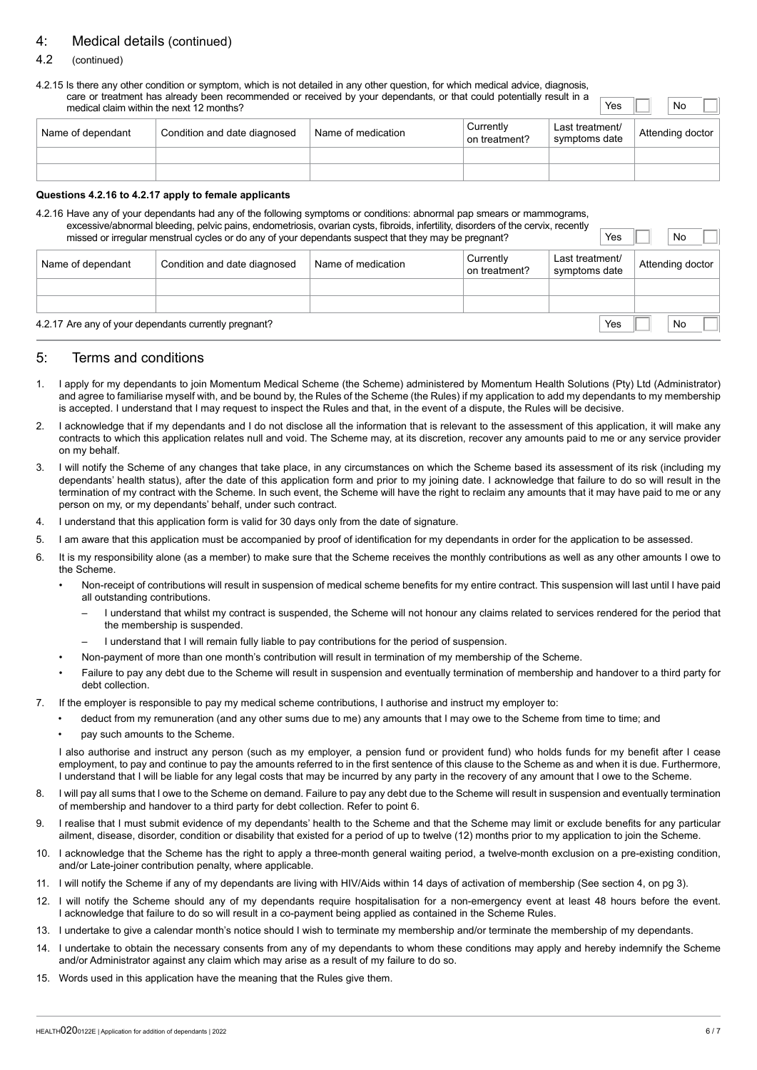## 4: Medical details (continued)

#### 4.2 (continued)

4.2.15 Is there any other condition or symptom, which is not detailed in any other question, for which medical advice, diagnosis, care or treatment has already been recommended or received by your dependants, or that could potentially result in a medical claim within the next 12 months?<br>medical claim within the next 12 months?

| Name of dependant | Condition and date diagnosed | Name of medication | Currently<br>on treatment? | Last treatment/<br>symptoms date | Attending doctor |  |
|-------------------|------------------------------|--------------------|----------------------------|----------------------------------|------------------|--|
|                   |                              |                    |                            |                                  |                  |  |
|                   |                              |                    |                            |                                  |                  |  |

#### **Questions 4.2.16 to 4.2.17 apply to female applicants**

4.2.16 Have any of your dependants had any of the following symptoms or conditions: abnormal pap smears or mammograms, excessive/abnormal bleeding, pelvic pains, endometriosis, ovarian cysts, fibroids, infertility, disorders of the cervix, recently missed or irregular menstrual cycles or do any of your dependants suspect that they may be pregnant?

| Name of dependant                                     | Condition and date diagnosed | Name of medication | Currently<br>on treatment? | Last treatment/<br>symptoms date | Attending doctor |
|-------------------------------------------------------|------------------------------|--------------------|----------------------------|----------------------------------|------------------|
|                                                       |                              |                    |                            |                                  |                  |
|                                                       |                              |                    |                            |                                  |                  |
| 4.2.17 Are any of your dependants currently pregnant? |                              |                    |                            |                                  | <b>No</b>        |

#### 5: Terms and conditions

- 1. I apply for my dependants to join Momentum Medical Scheme (the Scheme) administered by Momentum Health Solutions (Pty) Ltd (Administrator) and agree to familiarise myself with, and be bound by, the Rules of the Scheme (the Rules) if my application to add my dependants to my membership is accepted. I understand that I may request to inspect the Rules and that, in the event of a dispute, the Rules will be decisive.
- 2. I acknowledge that if my dependants and I do not disclose all the information that is relevant to the assessment of this application, it will make any contracts to which this application relates null and void. The Scheme may, at its discretion, recover any amounts paid to me or any service provider on my behalf.
- 3. I will notify the Scheme of any changes that take place, in any circumstances on which the Scheme based its assessment of its risk (including my dependants' health status), after the date of this application form and prior to my joining date. I acknowledge that failure to do so will result in the termination of my contract with the Scheme. In such event, the Scheme will have the right to reclaim any amounts that it may have paid to me or any person on my, or my dependants' behalf, under such contract.
- 4. I understand that this application form is valid for 30 days only from the date of signature.
- 5. I am aware that this application must be accompanied by proof of identification for my dependants in order for the application to be assessed.
- 6. It is my responsibility alone (as a member) to make sure that the Scheme receives the monthly contributions as well as any other amounts I owe to the Scheme.
	- Non-receipt of contributions will result in suspension of medical scheme benefits for my entire contract. This suspension will last until I have paid all outstanding contributions.
		- I understand that whilst my contract is suspended, the Scheme will not honour any claims related to services rendered for the period that the membership is suspended.
		- I understand that I will remain fully liable to pay contributions for the period of suspension.
	- Non-payment of more than one month's contribution will result in termination of my membership of the Scheme.
	- Failure to pay any debt due to the Scheme will result in suspension and eventually termination of membership and handover to a third party for debt collection.
- 7. If the employer is responsible to pay my medical scheme contributions, I authorise and instruct my employer to:
	- deduct from my remuneration (and any other sums due to me) any amounts that I may owe to the Scheme from time to time; and
	- pay such amounts to the Scheme.

I also authorise and instruct any person (such as my employer, a pension fund or provident fund) who holds funds for my benefit after I cease employment, to pay and continue to pay the amounts referred to in the first sentence of this clause to the Scheme as and when it is due. Furthermore, I understand that I will be liable for any legal costs that may be incurred by any party in the recovery of any amount that I owe to the Scheme.

- 8. I will pay all sums that I owe to the Scheme on demand. Failure to pay any debt due to the Scheme will result in suspension and eventually termination of membership and handover to a third party for debt collection. Refer to point 6.
- 9. I realise that I must submit evidence of my dependants' health to the Scheme and that the Scheme may limit or exclude benefits for any particular ailment, disease, disorder, condition or disability that existed for a period of up to twelve (12) months prior to my application to join the Scheme.
- 10. I acknowledge that the Scheme has the right to apply a three-month general waiting period, a twelve-month exclusion on a pre-existing condition, and/or Late-joiner contribution penalty, where applicable.
- 11. I will notify the Scheme if any of my dependants are living with HIV/Aids within 14 days of activation of membership (See section 4, on pg 3).
- 12. I will notify the Scheme should any of my dependants require hospitalisation for a non-emergency event at least 48 hours before the event. I acknowledge that failure to do so will result in a co-payment being applied as contained in the Scheme Rules.
- 13. I undertake to give a calendar month's notice should I wish to terminate my membership and/or terminate the membership of my dependants.
- 14. I undertake to obtain the necessary consents from any of my dependants to whom these conditions may apply and hereby indemnify the Scheme and/or Administrator against any claim which may arise as a result of my failure to do so.
- 15. Words used in this application have the meaning that the Rules give them.